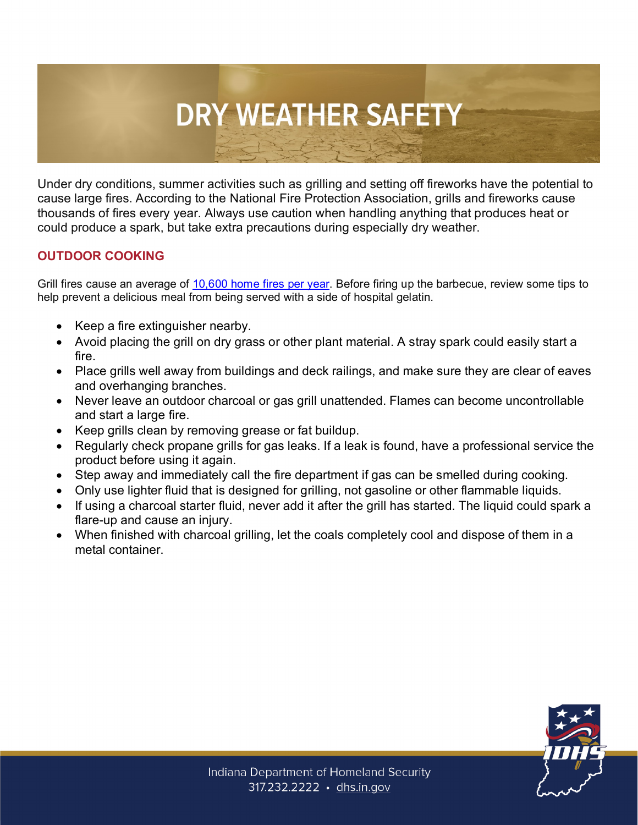## **DRY WEATHER SAFETY**

Under dry conditions, summer activities such as grilling and setting off fireworks have the potential to cause large fires. According to the National Fire Protection Association, grills and fireworks cause thousands of fires every year. Always use caution when handling anything that produces heat or could produce a spark, but take extra precautions during especially dry weather.

## **OUTDOOR COOKING**

Grill fires cause an average of [10,600 home fires per year.](https://www.nfpa.org/News-and-Research/Data-research-and-tools/US-Fire-Problem/Home-Grill-Fires) Before firing up the barbecue, review some tips to help prevent a delicious meal from being served with a side of hospital gelatin.

- Keep a fire extinguisher nearby.
- Avoid placing the grill on dry grass or other plant material. A stray spark could easily start a fire.
- Place grills well away from buildings and deck railings, and make sure they are clear of eaves and overhanging branches.
- Never leave an outdoor charcoal or gas grill unattended. Flames can become uncontrollable and start a large fire.
- Keep grills clean by removing grease or fat buildup.
- Regularly check propane grills for gas leaks. If a leak is found, have a professional service the product before using it again.
- Step away and immediately call the fire department if gas can be smelled during cooking.
- Only use lighter fluid that is designed for grilling, not gasoline or other flammable liquids.
- If using a charcoal starter fluid, never add it after the grill has started. The liquid could spark a flare-up and cause an injury.
- When finished with charcoal grilling, let the coals completely cool and dispose of them in a metal container.